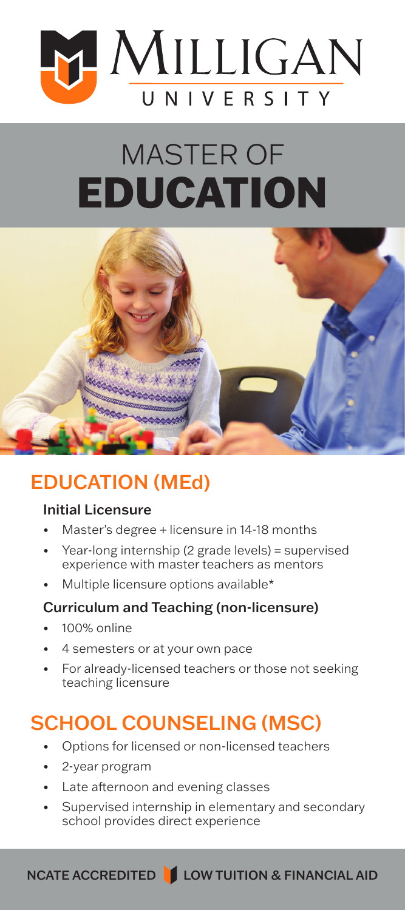

# MASTER OF EDUCATION



# EDUCATION (MEd)

#### Initial Licensure

- Master's degree + licensure in 14-18 months
- Year-long internship (2 grade levels) = supervised experience with master teachers as mentors
- Multiple licensure options available\*

#### Curriculum and Teaching (non-licensure)

- 100% online
- 4 semesters or at your own pace
- For already-licensed teachers or those not seeking teaching licensure

# SCHOOL COUNSELING (MSC)

- Options for licensed or non-licensed teachers
- 2-year program
- Late afternoon and evening classes
- Supervised internship in elementary and secondary school provides direct experience